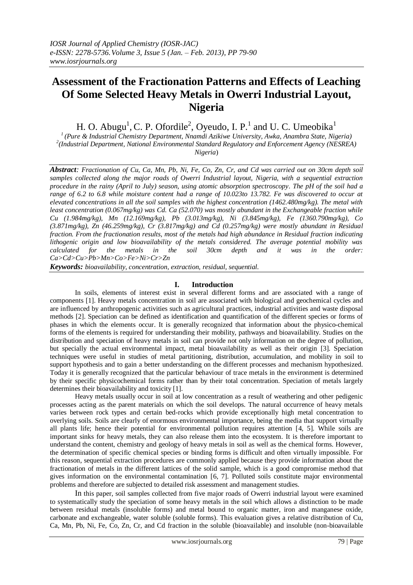# **Assessment of the Fractionation Patterns and Effects of Leaching Of Some Selected Heavy Metals in Owerri Industrial Layout, Nigeria**

H. O. Abugu<sup>1</sup>, C. P. Ofordile<sup>2</sup>, Oyeudo, I. P.<sup>1</sup> and U. C. Umeobika<sup>1</sup>

*1 (Pure & Industrial Chemistry Department, Nnamdi Azikiwe University, Awka, Anambra State, Nigeria) 2 (Industrial Department, National Environmental Standard Regulatory and Enforcement Agency (NESREA) Nigeria*)

*Abstract: Fractionation of Cu, Ca, Mn, Pb, Ni, Fe, Co, Zn, Cr, and Cd was carried out on 30cm depth soil samples collected along the major roads of Owerri Industrial layout, Nigeria, with a sequential extraction procedure in the rainy (April to July) season, using atomic absorption spectroscopy. The pH of the soil had a range of 6.2 to 6.8 while moisture content had a range of 10.023to 13.782. Fe was discovered to occur at elevated concentrations in all the soil samples with the highest concentration (1462.480mg/kg). The metal with least concentration (0.067mg/kg) was Cd. Ca (52.070) was mostly abundant in the Exchangeable fraction while Cu (1.984mg/kg), Mn (12.169mg/kg), Pb (3.013mg/kg), Ni (3.845mg/kg), Fe (1360.790mg/kg), Co (3.871mg/kg), Zn (46.259mg/kg), Cr (3.817mg/kg) and Cd (0.257mg/kg) were mostly abundant in Residual fraction. From the fractionation results, most of the metals had high abundance in Residual fraction indicating lithogenic origin and low bioavailability of the metals considered. The average potential mobility was calculated for the metals in the soil 30cm depth and it was in the order: Ca>Cd>Cu>Pb>Mn>Co>Fe>Ni>Cr>Zn*

*Keywords: bioavailability, concentration, extraction, residual, sequential.* 

## **I. Introduction**

In soils, elements of interest exist in several different forms and are associated with a range of components [1]. Heavy metals concentration in soil are associated with biological and geochemical cycles and are influenced by anthropogenic activities such as agricultural practices, industrial activities and waste disposal methods [2]. Speciation can be defined as identification and quantification of the different species or forms of phases in which the elements occur. It is generally recognized that information about the physico-chemical forms of the elements is required for understanding their mobility, pathways and bioavailability. Studies on the distribution and speciation of heavy metals in soil can provide not only information on the degree of pollution, but specially the actual environmental impact, metal bioavailability as well as their origin [3]. Speciation techniques were useful in studies of metal partitioning, distribution, accumulation, and mobility in soil to support hypothesis and to gain a better understanding on the different processes and mechanism hypothesized. Today it is generally recognized that the particular behaviour of trace metals in the environment is determined by their specific physicochemical forms rather than by their total concentration. Speciation of metals largely determines their bioavailability and toxicity [1].

Heavy metals usually occur in soil at low concentration as a result of weathering and other pedigenic processes acting as the parent materials on which the soil develops. The natural occurrence of heavy metals varies between rock types and certain bed-rocks which provide exceptionally high metal concentration to overlying soils. Soils are clearly of enormous environmental importance, being the media that support virtually all plants life; hence their potential for environmental pollution requires attention [4, 5]. While soils are important sinks for heavy metals, they can also release them into the ecosystem. It is therefore important to understand the content, chemistry and geology of heavy metals in soil as well as the chemical forms. However, the determination of specific chemical species or binding forms is difficult and often virtually impossible. For this reason, sequential extraction procedures are commonly applied because they provide information about the fractionation of metals in the different lattices of the solid sample, which is a good compromise method that gives information on the environmental contamination [6, 7]. Polluted soils constitute major environmental problems and therefore are subjected to detailed risk assessment and management studies.

In this paper, soil samples collected from five major roads of Owerri industrial layout were examined to systematically study the speciation of some heavy metals in the soil which allows a distinction to be made between residual metals (insoluble forms) and metal bound to organic matter, iron and manganese oxide, carbonate and exchangeable, water soluble (soluble forms). This evaluation gives a relative distribution of Cu, Ca, Mn, Pb, Ni, Fe, Co, Zn, Cr, and Cd fraction in the soluble (bioavailable) and insoluble (non-bioavailable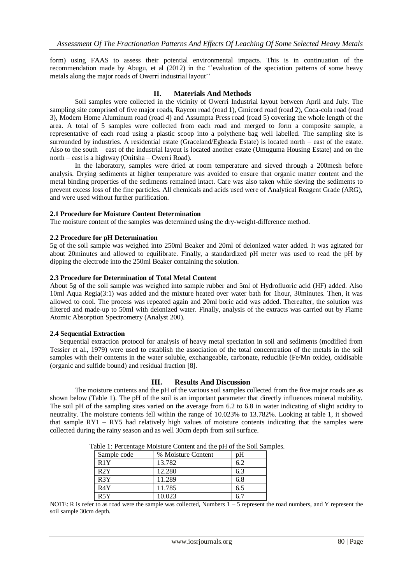form) using FAAS to assess their potential environmental impacts. This is in continuation of the recommendation made by Abugu, et al (2012) in the ''evaluation of the speciation patterns of some heavy metals along the major roads of Owerri industrial layout''

## **II. Materials And Methods**

Soil samples were collected in the vicinity of Owerri Industrial layout between April and July. The sampling site comprised of five major roads, Raycon road (road 1), Gmicord road (road 2), Coca-cola road (road 3), Modern Home Aluminum road (road 4) and Assumpta Press road (road 5) covering the whole length of the area. A total of 5 samples were collected from each road and merged to form a composite sample, a representative of each road using a plastic scoop into a polythene bag well labelled. The sampling site is surrounded by industries. A residential estate (Graceland/Egbeada Estate) is located north – east of the estate. Also to the south – east of the industrial layout is located another estate (Umuguma Housing Estate) and on the north – east is a highway (Onitsha – Owerri Road).

In the laboratory, samples were dried at room temperature and sieved through a 200mesh before analysis. Drying sediments at higher temperature was avoided to ensure that organic matter content and the metal binding properties of the sediments remained intact. Care was also taken while sieving the sediments to prevent excess loss of the fine particles. All chemicals and acids used were of Analytical Reagent Grade (ARG), and were used without further purification.

### **2.1 Procedure for Moisture Content Determination**

The moisture content of the samples was determined using the dry-weight-difference method.

### **2.2 Procedure for pH Determination**

5g of the soil sample was weighed into 250ml Beaker and 20ml of deionized water added. It was agitated for about 20minutes and allowed to equilibrate. Finally, a standardized pH meter was used to read the pH by dipping the electrode into the 250ml Beaker containing the solution.

#### **2.3 Procedure for Determination of Total Metal Content**

About 5g of the soil sample was weighed into sample rubber and 5ml of Hydrofluoric acid (HF) added. Also 10ml Aqua Regia(3:1) was added and the mixture heated over water bath for 1hour, 30minutes. Then, it was allowed to cool. The process was repeated again and 20ml boric acid was added. Thereafter, the solution was filtered and made-up to 50ml with deionized water. Finally, analysis of the extracts was carried out by Flame Atomic Absorption Spectrometry (Analyst 200).

#### **2.4 Sequential Extraction**

Sequential extraction protocol for analysis of heavy metal speciation in soil and sediments (modified from Tessier et al., 1979) were used to establish the association of the total concentration of the metals in the soil samples with their contents in the water soluble, exchangeable, carbonate, reducible (Fe/Mn oxide), oxidisable (organic and sulfide bound) and residual fraction [8].

### **III. Results And Discussion**

The moisture contents and the pH of the various soil samples collected from the five major roads are as shown below (Table 1). The pH of the soil is an important parameter that directly influences mineral mobility. The soil pH of the sampling sites varied on the average from 6.2 to 6.8 in water indicating of slight acidity to neutrality. The moisture contents fell within the range of 10.023% to 13.782%. Looking at table 1, it showed that sample RY1 – RY5 had relatively high values of moisture contents indicating that the samples were collected during the rainy season and as well 30cm depth from soil surface.

| radio 1. I credinage moistare comein and the pri or the boll bar |                    |     |  |  |  |  |  |  |
|------------------------------------------------------------------|--------------------|-----|--|--|--|--|--|--|
| Sample code                                                      | % Moisture Content | pΗ  |  |  |  |  |  |  |
| R1Y                                                              | 13.782             | 6.2 |  |  |  |  |  |  |
| R2Y                                                              | 12.280             | 6.3 |  |  |  |  |  |  |
| R3Y                                                              | 11.289             | 6.8 |  |  |  |  |  |  |
| R4Y                                                              | 11.785             | 6.5 |  |  |  |  |  |  |
| R5Y                                                              | 10.023             |     |  |  |  |  |  |  |

Table 1: Percentage Moisture Content and the pH of the Soil Samples.

NOTE: R is refer to as road were the sample was collected, Numbers 1 – 5 represent the road numbers, and Y represent the soil sample 30cm depth.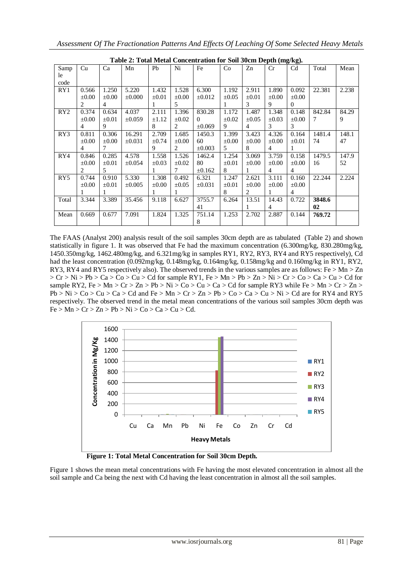|       | Table 2: Total Metal Concentration for Soil Social Depth (mg/kg). |                |             |            |            |             |            |            |            |                |        |       |
|-------|-------------------------------------------------------------------|----------------|-------------|------------|------------|-------------|------------|------------|------------|----------------|--------|-------|
| Samp  | Cu                                                                | Ca             | Mn          | Pb         | Ni         | Fe          | Co         | Zn         | Cr         | C <sub>d</sub> | Total  | Mean  |
| le    |                                                                   |                |             |            |            |             |            |            |            |                |        |       |
| code  |                                                                   |                |             |            |            |             |            |            |            |                |        |       |
| RY1   | 0.566                                                             | 1.250          | 5.220       | 1.432      | 1.528      | 6.300       | 1.192      | 2.911      | 1.890      | 0.092          | 22.381 | 2.238 |
|       | $\pm 0.00$                                                        | $\pm 0.00$     | $\pm 0.000$ | $\pm 0.01$ | $\pm 0.00$ | $\pm 0.012$ | $\pm 0.05$ | $\pm 0.01$ | $\pm 0.00$ | $\pm 0.00$     |        |       |
|       | 2                                                                 | $\overline{4}$ |             | 1          | 5          |             | 1          | 3          | 9          | $\Omega$       |        |       |
| RY2   | 0.374                                                             | 0.634          | 4.037       | 2.111      | 1.396      | 830.28      | 1.172      | 1.487      | 1.348      | 0.148          | 842.84 | 84.29 |
|       | $\pm 0.00$                                                        | $\pm 0.01$     | $\pm 0.059$ | $\pm 1.12$ | $\pm 0.02$ | $\Omega$    | $\pm 0.02$ | $\pm 0.05$ | $\pm 0.03$ | $\pm 0.00$     | 7      | 9     |
|       | 4                                                                 | 9              |             | 8          | 2          | $\pm 0.069$ | 9          | 4          | 3          | 3              |        |       |
| RY3   | 0.811                                                             | 0.306          | 16.291      | 2.709      | 1.685      | 1450.3      | 1.399      | 3.423      | 4.326      | 0.164          | 1481.4 | 148.1 |
|       | $\pm 0.00$                                                        | $\pm 0.00$     | $\pm 0.031$ | $\pm 0.74$ | $\pm 0.00$ | 60          | $\pm 0.00$ | $\pm 0.00$ | $\pm 0.00$ | $\pm 0.01$     | 74     | 47    |
|       | 4                                                                 | 7              |             | 9          | 2          | $\pm 0.003$ | 5          | 8          | 4          | 1              |        |       |
| RY4   | 0.846                                                             | 0.285          | 4.578       | 1.558      | 1.526      | 1462.4      | 1.254      | 3.069      | 3.759      | 0.158          | 1479.5 | 147.9 |
|       | $\pm 0.00$                                                        | $\pm 0.01$     | $\pm 0.054$ | $\pm 0.03$ | $\pm 0.02$ | 80          | $\pm 0.01$ | $\pm 0.00$ | $\pm 0.00$ | $\pm 0.00$     | 16     | 52    |
|       | $\overline{c}$                                                    | 5              |             | 1          | 7          | $\pm 0.162$ | 8          |            | 4          | 4              |        |       |
| RY5   | 0.744                                                             | 0.910          | 5.330       | 1.308      | 0.492      | 6.321       | 1.247      | 2.621      | 3.111      | 0.160          | 22.244 | 2.224 |
|       | $\pm 0.00$                                                        | $\pm 0.01$     | $\pm 0.005$ | $\pm 0.00$ | $\pm 0.05$ | $\pm 0.031$ | $\pm 0.01$ | $\pm 0.00$ | $\pm 0.00$ | $\pm 0.00$     |        |       |
|       |                                                                   | 1              |             |            | 1          |             | 8          | 2          | 1          | $\overline{4}$ |        |       |
| Total | 3.344                                                             | 3.389          | 35.456      | 9.118      | 6.627      | 3755.7      | 6.264      | 13.51      | 14.43      | 0.722          | 3848.6 |       |
|       |                                                                   |                |             |            |            | 41          |            |            | 4          |                | 02     |       |
| Mean  | 0.669                                                             | 0.677          | 7.091       | 1.824      | 1.325      | 751.14      | 1.253      | 2.702      | 2.887      | 0.144          | 769.72 |       |
|       |                                                                   |                |             |            |            | 8           |            |            |            |                |        |       |

**Table 2: Total Metal Concentration for Soil 30cm Depth (mg/kg).**

The FAAS (Analyst 200) analysis result of the soil samples 30cm depth are as tabulated (Table 2) and shown statistically in figure 1. It was observed that Fe had the maximum concentration (6.300mg/kg, 830.280mg/kg, 1450.350mg/kg, 1462.480mg/kg, and 6.321mg/kg in samples RY1, RY2, RY3, RY4 and RY5 respectively), Cd had the least concentration (0.092mg/kg, 0.148mg/kg, 0.164mg/kg, 0.158mg/kg and 0.160mg/kg in RY1, RY2, RY3, RY4 and RY5 respectively also). The observed trends in the various samples are as follows: Fe > Mn > Zn  $> Cr > Ni > Pb > Ca > Co > Cu > Cd$  for sample RY1, Fe  $> Mn > Pb > Zn > Ni > Cr > Co > Ca > Cu > Cd$  for sample RY2, Fe > Mn > Cr > Zn > Pb > Ni > Co > Cu > Ca > Cd for sample RY3 while Fe > Mn > Cr > Zn >  $Pb > Ni > Co > Cu > Ca > Cd$  and  $Fe > Mn > Cr > Zn > Pb > Co > Ca > Cu > Ni > Cd$  are for RY4 and RY5 respectively. The observed trend in the metal mean concentrations of the various soil samples 30cm depth was  $Fe > Mn > Cr > Zn > Pb > Ni > Co > Ca > Cu > Cd.$ 



 **Figure 1: Total Metal Concentration for Soil 30cm Depth.** 

Figure 1 shows the mean metal concentrations with Fe having the most elevated concentration in almost all the soil sample and Ca being the next with Cd having the least concentration in almost all the soil samples.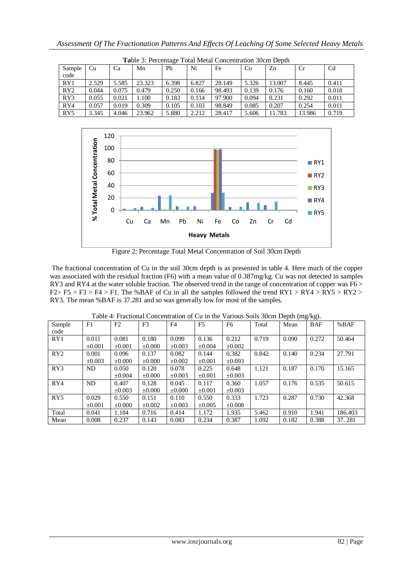|                 | <b>Table 3: Percentage Total Metal Concentration 30cm Depth</b> |       |        |       |       |        |       |        |        |                |  |  |  |
|-----------------|-----------------------------------------------------------------|-------|--------|-------|-------|--------|-------|--------|--------|----------------|--|--|--|
| Sample          | Cu                                                              | Ca    | Mn     | Pb    | Ni    | Fe     | Co    | Zn     | Cr     | C <sub>d</sub> |  |  |  |
| code            |                                                                 |       |        |       |       |        |       |        |        |                |  |  |  |
| RY1             | 2.529                                                           | 5.585 | 23.323 | 6.398 | 6.827 | 28.149 | 5.326 | 13.007 | 8.445  | 0.411          |  |  |  |
| RY2             | 0.044                                                           | 0.075 | 0.479  | 0.250 | 0.166 | 98.493 | 0.139 | 0.176  | 0.160  | 0.018          |  |  |  |
| RY3             | 0.055                                                           | 0.021 | 1.100  | 0.183 | 0.114 | 97.900 | 0.094 | 0.231  | 0.292  | 0.011          |  |  |  |
| RY4             | 0.057                                                           | 0.019 | 0.309  | 0.105 | 0.103 | 98.849 | 0.085 | 0.207  | 0.254  | 0.011          |  |  |  |
| RY <sub>5</sub> | 3.345                                                           | 4.046 | 23.962 | 5.880 | 2.212 | 28.417 | 5.606 | 11.783 | 13.986 | 0.719          |  |  |  |

**Ta**ble 3: Percentage Total Metal Concentration 30cm Depth



Figure 2: Percentage Total Metal Concentration of Soil 30cm Depth

The fractional concentration of Cu in the soil 30cm depth is as presented in table 4. Here much of the copper was associated with the residual fraction (F6) with a mean value of 0.387mg/kg. Cu was not detected in samples RY3 and RY4 at the water soluble fraction. The observed trend in the range of concentration of copper was F6 >  $F2 > F5 > F3 > F4 > F1$ . The %BAF of Cu in all the samples followed the trend RY1 > RY4 > RY5 > RY2 > RY3. The mean %BAF is 37.281 and so was generally low for most of the samples.

| Sample          | F1          | F2          | F <sub>3</sub> | F4          | F5          | F6          | Total | Mean  | <b>BAF</b> | %BAF    |
|-----------------|-------------|-------------|----------------|-------------|-------------|-------------|-------|-------|------------|---------|
| code            |             |             |                |             |             |             |       |       |            |         |
| RY1             | 0.011       | 0.081       | 0.180          | 0.099       | 0.136       | 0.212       | 0.719 | 0.090 | 0.272      | 50.464  |
|                 | ±0.001      | $\pm 0.001$ | $\pm 0.000$    | $\pm 0.003$ | $\pm 0.004$ | $\pm 0.002$ |       |       |            |         |
| RY2             | 0.001       | 0.096       | 0.137          | 0.082       | 0.144       | 0.382       | 0.842 | 0.140 | 0.234      | 27.791  |
|                 | $\pm 0.003$ | $\pm 0.000$ | $\pm 0.000$    | $\pm 0.002$ | $\pm 0.001$ | $\pm 0.093$ |       |       |            |         |
| RY3             | ND          | 0.050       | 0.120          | 0.078       | 0.225       | 0.648       | 1.121 | 0.187 | 0.170      | 15.165  |
|                 |             | $\pm 0.004$ | $\pm 0.000$    | $\pm 0.003$ | $\pm 0.001$ | $\pm 0.003$ |       |       |            |         |
| RY4             | ND          | 0.407       | 0.128          | 0.045       | 0.117       | 0.360       | 1.057 | 0.176 | 0.535      | 50.615  |
|                 |             | $\pm 0.003$ | $\pm 0.000$    | $\pm 0.000$ | $\pm 0.001$ | $\pm 0.003$ |       |       |            |         |
| RY <sub>5</sub> | 0.029       | 0.550       | 0.151          | 0.110       | 0.550       | 0.333       | 1.723 | 0.287 | 0.730      | 42.368  |
|                 | $\pm 0.001$ | $\pm 0.000$ | $\pm 0.002$    | $\pm 0.003$ | $\pm 0.005$ | $\pm 0.008$ |       |       |            |         |
| Total           | 0.041       | 1.184       | 0.716          | 0.414       | 1.172       | 1.935       | 5.462 | 0.910 | 1.941      | 186.403 |
| Mean            | 0.008       | 0.237       | 0.143          | 0.083       | 0.234       | 0.387       | 1.092 | 0.182 | 0.388      | 37.281  |

Table 4: Fractional Concentration of Cu in the Various Soils 30cm Depth (mg/kg).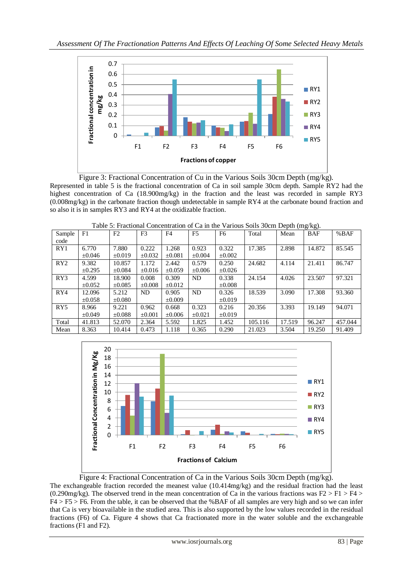

Figure 3: Fractional Concentration of Cu in the Various Soils 30cm Depth (mg/kg). Represented in table 5 is the fractional concentration of Ca in soil sample 30cm depth. Sample RY2 had the highest concentration of Ca (18.900mg/kg) in the fraction and the least was recorded in sample RY3 (0.008mg/kg) in the carbonate fraction though undetectable in sample RY4 at the carbonate bound fraction and so also it is in samples RY3 and RY4 at the oxidizable fraction.

| Sample          | F1          | F2          | F <sub>3</sub> | F4          | F <sub>5</sub> | F <sub>6</sub> | Total   | Mean   | <b>BAF</b> | %BAF    |
|-----------------|-------------|-------------|----------------|-------------|----------------|----------------|---------|--------|------------|---------|
| code            |             |             |                |             |                |                |         |        |            |         |
| RY1             | 6.770       | 7.880       | 0.222          | 1.268       | 0.923          | 0.322          | 17.385  | 2.898  | 14.872     | 85.545  |
|                 | $\pm 0.046$ | $\pm 0.019$ | $\pm 0.032$    | $\pm 0.081$ | $\pm 0.004$    | $\pm 0.002$    |         |        |            |         |
| RY2             | 9.382       | 10.857      | 1.172          | 2.442       | 0.579          | 0.250          | 24.682  | 4.114  | 21.411     | 86.747  |
|                 | $\pm 0.295$ | $\pm 0.084$ | $\pm 0.016$    | $\pm 0.059$ | $\pm 0.006$    | $\pm 0.026$    |         |        |            |         |
| RY3             | 4.599       | 18.900      | 0.008          | 0.309       | ND             | 0.338          | 24.154  | 4.026  | 23.507     | 97.321  |
|                 | $\pm 0.052$ | $\pm 0.085$ | $\pm 0.008$    | $\pm 0.012$ |                | $\pm 0.008$    |         |        |            |         |
| RY4             | 12.096      | 5.212       | ND             | 0.905       | ND             | 0.326          | 18.539  | 3.090  | 17.308     | 93.360  |
|                 | $\pm 0.058$ | $\pm 0.080$ |                | $\pm 0.009$ |                | $\pm 0.019$    |         |        |            |         |
| RY <sub>5</sub> | 8.966       | 9.221       | 0.962          | 0.668       | 0.323          | 0.216          | 20.356  | 3.393  | 19.149     | 94.071  |
|                 | $\pm 0.049$ | $\pm 0.088$ | $\pm 0.001$    | $\pm 0.006$ | $\pm 0.021$    | $\pm 0.019$    |         |        |            |         |
| Total           | 41.813      | 52.070      | 2.364          | 5.592       | 1.825          | 1.452          | 105.116 | 17.519 | 96.247     | 457.044 |
| Mean            | 8.363       | 10.414      | 0.473          | 1.118       | 0.365          | 0.290          | 21.023  | 3.504  | 19.250     | 91.409  |

Table 5: Fractional Concentration of Ca in the Various Soils 30cm Depth (mg/kg).



Figure 4: Fractional Concentration of Ca in the Various Soils 30cm Depth (mg/kg).

The exchangeable fraction recorded the meanest value (10.414mg/kg) and the residual fraction had the least (0.290mg/kg). The observed trend in the mean concentration of Ca in the various fractions was  $F2 > F1 > F4 >$ F4 > F5 > F6. From the table, it can be observed that the %BAF of all samples are very high and so we can infer that Ca is very bioavailable in the studied area. This is also supported by the low values recorded in the residual fractions (F6) of Ca. Figure 4 shows that Ca fractionated more in the water soluble and the exchangeable fractions (F1 and F2).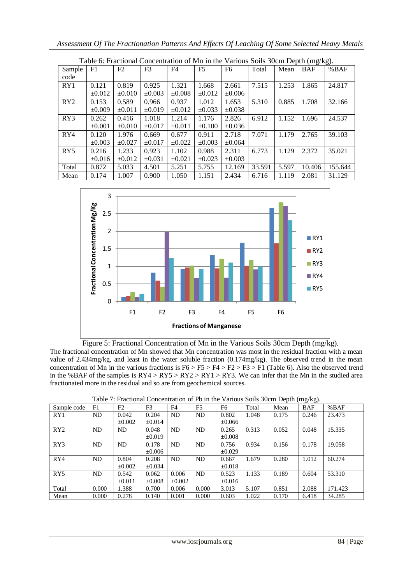|        |             |                | Lable 0. Fractional Concentration of Mill in the Various Sons Jocht Depth (hig/kg). |             |                |                |        |       |            |         |
|--------|-------------|----------------|-------------------------------------------------------------------------------------|-------------|----------------|----------------|--------|-------|------------|---------|
| Sample | F1          | F <sub>2</sub> | F <sub>3</sub>                                                                      | F4          | F <sub>5</sub> | F <sub>6</sub> | Total  | Mean  | <b>BAF</b> | %BAF    |
| code   |             |                |                                                                                     |             |                |                |        |       |            |         |
| RY1    | 0.121       | 0.819          | 0.925                                                                               | 1.321       | 1.668          | 2.661          | 7.515  | 1.253 | 1.865      | 24.817  |
|        | $\pm 0.012$ | $\pm 0.010$    | $\pm 0.003$                                                                         | $\pm 0.008$ | $\pm 0.012$    | $\pm 0.006$    |        |       |            |         |
| RY2    | 0.153       | 0.589          | 0.966                                                                               | 0.937       | 1.012          | 1.653          | 5.310  | 0.885 | 1.708      | 32.166  |
|        | $\pm 0.009$ | $\pm 0.011$    | $\pm 0.019$                                                                         | $\pm 0.012$ | $\pm 0.033$    | $\pm 0.038$    |        |       |            |         |
| RY3    | 0.262       | 0.416          | 1.018                                                                               | 1.214       | 1.176          | 2.826          | 6.912  | 1.152 | 1.696      | 24.537  |
|        | $\pm 0.001$ | $\pm 0.010$    | $\pm 0.017$                                                                         | ±0.011      | $\pm 0.100$    | $\pm 0.036$    |        |       |            |         |
| RY4    | 0.120       | 1.976          | 0.669                                                                               | 0.677       | 0.911          | 2.718          | 7.071  | 1.179 | 2.765      | 39.103  |
|        | $\pm 0.003$ | $\pm 0.027$    | $\pm 0.017$                                                                         | $\pm 0.022$ | $\pm 0.003$    | $\pm 0.064$    |        |       |            |         |
| RY5    | 0.216       | 1.233          | 0.923                                                                               | 1.102       | 0.988          | 2.311          | 6.773  | 1.129 | 2.372      | 35.021  |
|        | $\pm 0.016$ | $\pm 0.012$    | $\pm 0.031$                                                                         | $\pm 0.021$ | $\pm 0.023$    | $\pm 0.003$    |        |       |            |         |
| Total  | 0.872       | 5.033          | 4.501                                                                               | 5.251       | 5.755          | 12.169         | 33.591 | 5.597 | 10.406     | 155.644 |
| Mean   | 0.174       | 1.007          | 0.900                                                                               | 1.050       | 1.151          | 2.434          | 6.716  | 1.119 | 2.081      | 31.129  |





Figure 5: Fractional Concentration of Mn in the Various Soils 30cm Depth (mg/kg).

The fractional concentration of Mn showed that Mn concentration was most in the residual fraction with a mean value of 2.434mg/kg, and least in the water soluble fraction (0.174mg/kg). The observed trend in the mean concentration of Mn in the various fractions is  $F6 > F5 > F4 > F2 > F3 > F1$  (Table 6). Also the observed trend in the %BAF of the samples is  $RY4 > RY5 > RY2 > RY1 > RY3$ . We can infer that the Mn in the studied area fractionated more in the residual and so are from geochemical sources.

| Sample code     | F1        | F2          | F <sub>3</sub> | F4          | F <sub>5</sub> | F6          | Total | - 11<br>Mean | $\sigma$ $\sigma$<br><b>BAF</b> | %BAF    |
|-----------------|-----------|-------------|----------------|-------------|----------------|-------------|-------|--------------|---------------------------------|---------|
| RY1             | <b>ND</b> | 0.042       | 0.204          | ND          | ND             | 0.802       | 1.048 | 0.175        | 0.246                           | 23.473  |
|                 |           | $\pm 0.002$ | $\pm 0.014$    |             |                | $\pm 0.066$ |       |              |                                 |         |
| RY2             | ND        | ND          | 0.048          | ND.         | ND             | 0.265       | 0.313 | 0.052        | 0.048                           | 15.335  |
|                 |           |             | $\pm 0.019$    |             |                | $\pm 0.008$ |       |              |                                 |         |
| RY3             | ND        | ND          | 0.178          | ND          | ND             | 0.756       | 0.934 | 0.156        | 0.178                           | 19.058  |
|                 |           |             | $\pm 0.006$    |             |                | $\pm 0.029$ |       |              |                                 |         |
| RY4             | ND        | 0.804       | 0.208          | ND.         | ND             | 0.667       | 1.679 | 0.280        | 1.012                           | 60.274  |
|                 |           | $\pm 0.002$ | $\pm 0.034$    |             |                | $\pm 0.018$ |       |              |                                 |         |
| RY <sub>5</sub> | ND        | 0.542       | 0.062          | 0.006       | ND             | 0.523       | 1.133 | 0.189        | 0.604                           | 53.310  |
|                 |           | $\pm 0.011$ | $\pm 0.008$    | $\pm 0.002$ |                | $\pm 0.016$ |       |              |                                 |         |
| Total           | 0.000     | 1.388       | 0.700          | 0.006       | 0.000          | 3.013       | 5.107 | 0.851        | 2.088                           | 171.423 |
| Mean            | 0.000     | 0.278       | 0.140          | 0.001       | 0.000          | 0.603       | 1.022 | 0.170        | 6.418                           | 34.285  |

Table 7: Fractional Concentration of Pb in the Various Soils 30cm Depth (mg/kg).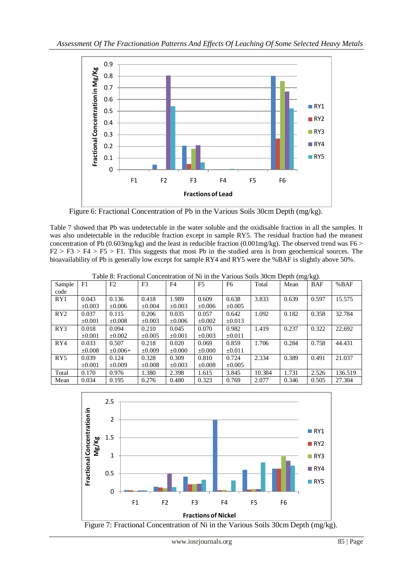

Figure 6: Fractional Concentration of Pb in the Various Soils 30cm Depth (mg/kg).

Table 7 showed that Pb was undetectable in the water soluble and the oxidisable fraction in all the samples. It was also undetectable in the reducible fraction except in sample RY5. The residual fraction had the meanest concentration of Pb (0.603mg/kg) and the least in reducible fraction (0.001mg/kg). The observed trend was F6  $>$  $F2 > F3 > F4 > F5 > F1$ . This suggests that most Pb in the studied area is from geochemical sources. The bioavailability of Pb is generally low except for sample RY4 and RY5 were the %BAF is slightly above 50%.

| Sample          | F1          | F2            | F <sub>3</sub> | F <sub>4</sub> | F <sub>5</sub> | F <sub>6</sub> | Total  | Mean  | <b>BAF</b> | %BAF    |
|-----------------|-------------|---------------|----------------|----------------|----------------|----------------|--------|-------|------------|---------|
| code            |             |               |                |                |                |                |        |       |            |         |
| RY1             | 0.043       | 0.136         | 0.418          | 1.989          | 0.609          | 0.638          | 3.833  | 0.639 | 0.597      | 15.575  |
|                 | $\pm 0.003$ | $\pm 0.006$   | $\pm 0.004$    | $\pm 0.003$    | $\pm 0.006$    | $\pm 0.005$    |        |       |            |         |
| RY2             | 0.037       | 0.115         | 0.206          | 0.035          | 0.057          | 0.642          | 1.092  | 0.182 | 0.358      | 32.784  |
|                 | $\pm 0.001$ | $\pm 0.008$   | $\pm 0.003$    | $\pm 0.006$    | $\pm 0.002$    | $\pm 0.013$    |        |       |            |         |
| RY3             | 0.018       | 0.094         | 0.210          | 0.045          | 0.070          | 0.982          | 1.419  | 0.237 | 0.322      | 22.692  |
|                 | $\pm 0.001$ | $\pm 0.002$   | $\pm 0.005$    | $\pm 0.001$    | $\pm 0.003$    | ±0.011         |        |       |            |         |
| RY4             | 0.033       | 0.507         | 0.218          | 0.020          | 0.069          | 0.859          | 1.706  | 0.284 | 0.758      | 44.431  |
|                 | $\pm 0.008$ | $\pm 0.006 +$ | $\pm 0.009$    | $\pm 0.000$    | $\pm 0.000$    | ±0.011         |        |       |            |         |
| RY <sub>5</sub> | 0.039       | 0.124         | 0.328          | 0.309          | 0.810          | 0.724          | 2.334  | 0.389 | 0.491      | 21.037  |
|                 | $\pm 0.001$ | $\pm 0.009$   | $\pm 0.008$    | $\pm 0.003$    | $\pm 0.008$    | $\pm 0.005$    |        |       |            |         |
| Total           | 0.170       | 0.976         | 1.380          | 2.398          | 1.615          | 3.845          | 10.384 | 1.731 | 2.526      | 136.519 |
| Mean            | 0.034       | 0.195         | 0.276          | 0.480          | 0.323          | 0.769          | 2.077  | 0.346 | 0.505      | 27.304  |

Table 8: Fractional Concentration of Ni in the Various Soils 30cm Depth (mg/kg).



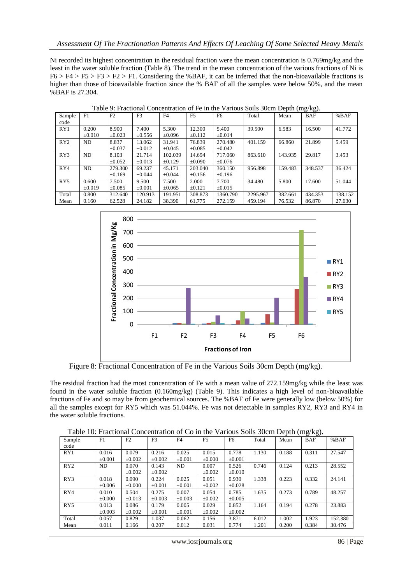Ni recorded its highest concentration in the residual fraction were the mean concentration is 0.769mg/kg and the least in the water soluble fraction (Table 8). The trend in the mean concentration of the various fractions of Ni is  $F6 > F4 > F5 > F3 > F2 > F1$ . Considering the %BAF, it can be inferred that the non-bioavailable fractions is higher than those of bioavailable fraction since the % BAF of all the samples were below 50%, and the mean %BAF is 27.304.

|        |             |             |                |             |                |                |          |         | ,ت         |         |
|--------|-------------|-------------|----------------|-------------|----------------|----------------|----------|---------|------------|---------|
| Sample | F1          | F2          | F <sub>3</sub> | F4          | F <sub>5</sub> | F <sub>6</sub> | Total    | Mean    | <b>BAF</b> | %BAF    |
| code   |             |             |                |             |                |                |          |         |            |         |
| RY1    | 0.200       | 8.900       | 7.400          | 5.300       | 12.300         | 5.400          | 39.500   | 6.583   | 16.500     | 41.772  |
|        | $\pm 0.010$ | $\pm 0.023$ | $\pm 0.556$    | $\pm 0.096$ | $\pm 0.112$    | $\pm 0.014$    |          |         |            |         |
| RY2    | ND          | 8.837       | 13.062         | 31.941      | 76.839         | 270.480        | 401.159  | 66.860  | 21.899     | 5.459   |
|        |             | $\pm 0.037$ | $\pm 0.012$    | $\pm 0.045$ | $\pm 0.085$    | $\pm 0.042$    |          |         |            |         |
| RY3    | ND          | 8.103       | 21.714         | 102.039     | 14.694         | 717.060        | 863.610  | 143.935 | 29.817     | 3.453   |
|        |             | $\pm 0.052$ | $\pm 0.013$    | $\pm 0.129$ | $\pm 0.090$    | $\pm 0.076$    |          |         |            |         |
| RY4    | ND          | 279.300     | 69.237         | 45.171      | 203.040        | 360.150        | 956.898  | 159.483 | 348.537    | 36.424  |
|        |             | $\pm 0.169$ | $\pm 0.044$    | $\pm 0.044$ | $\pm 0.156$    | $\pm 0.196$    |          |         |            |         |
| RY5    | 0.600       | 7.500       | 9.500          | 7.500       | 2.000          | 7.700          | 34.480   | 5.800   | 17.600     | 51.044  |
|        | $\pm 0.019$ | $\pm 0.085$ | $\pm 0.001$    | $\pm 0.065$ | $\pm 0.121$    | $\pm 0.015$    |          |         |            |         |
| Total  | 0.800       | 312.640     | 120.913        | 191.951     | 308.873        | 1360.790       | 2295.967 | 382.661 | 434.353    | 138.152 |
| Mean   | 0.160       | 62.528      | 24.182         | 38.390      | 61.775         | 272.159        | 459.194  | 76.532  | 86.870     | 27.630  |

Table 9: Fractional Concentration of Fe in the Various Soils 30cm Depth (mg/kg).



Figure 8: Fractional Concentration of Fe in the Various Soils 30cm Depth (mg/kg).

The residual fraction had the most concentration of Fe with a mean value of 272.159mg/kg while the least was found in the water soluble fraction (0.160mg/kg) (Table 9). This indicates a high level of non-bioavailable fractions of Fe and so may be from geochemical sources. The %BAF of Fe were generally low (below 50%) for all the samples except for RY5 which was 51.044%. Fe was not detectable in samples RY2, RY3 and RY4 in the water soluble fractions.

Table 10: Fractional Concentration of Co in the Various Soils 30cm Depth (mg/kg).

| Sample<br>code | F1          | F2          | F3          | F4          | F <sub>5</sub> | F <sub>6</sub> | Total | Mean  | <b>BAF</b> | %BAF    |
|----------------|-------------|-------------|-------------|-------------|----------------|----------------|-------|-------|------------|---------|
|                |             |             |             |             |                |                |       |       |            |         |
| RY1            | 0.016       | 0.079       | 0.216       | 0.025       | 0.015          | 0.778          | 1.130 | 0.188 | 0.311      | 27.547  |
|                | $\pm 0.001$ | $\pm 0.002$ | $\pm 0.002$ | $\pm 0.001$ | $\pm 0.000$    | $\pm 0.001$    |       |       |            |         |
| RY2            | ND.         | 0.070       | 0.143       | ND          | 0.007          | 0.526          | 0.746 | 0.124 | 0.213      | 28.552  |
|                |             | $\pm 0.002$ | $\pm 0.002$ |             | $\pm 0.002$    | $\pm 0.010$    |       |       |            |         |
| RY3            | 0.018       | 0.090       | 0.224       | 0.025       | 0.051          | 0.930          | 1.338 | 0.223 | 0.332      | 24.141  |
|                | $\pm 0.006$ | $\pm 0.000$ | $\pm 0.001$ | $\pm 0.001$ | $\pm 0.002$    | $\pm 0.028$    |       |       |            |         |
| RY4            | 0.010       | 0.504       | 0.275       | 0.007       | 0.054          | 0.785          | 1.635 | 0.273 | 0.789      | 48.257  |
|                | $\pm 0.000$ | $\pm 0.013$ | $\pm 0.003$ | $\pm 0.003$ | $\pm 0.002$    | $\pm 0.005$    |       |       |            |         |
| RY5            | 0.013       | 0.086       | 0.179       | 0.005       | 0.029          | 0.852          | 1.164 | 0.194 | 0.278      | 23.883  |
|                | $\pm 0.003$ | $\pm 0.002$ | $\pm 0.001$ | $\pm 0.001$ | $\pm 0.002$    | $\pm 0.002$    |       |       |            |         |
| Total          | 0.057       | 0.829       | 1.037       | 0.062       | 0.156          | 3.871          | 6.012 | 1.002 | 1.923      | 152.380 |
| Mean           | 0.011       | 0.166       | 0.207       | 0.012       | 0.031          | 0.774          | 1.201 | 0.200 | 0.384      | 30.476  |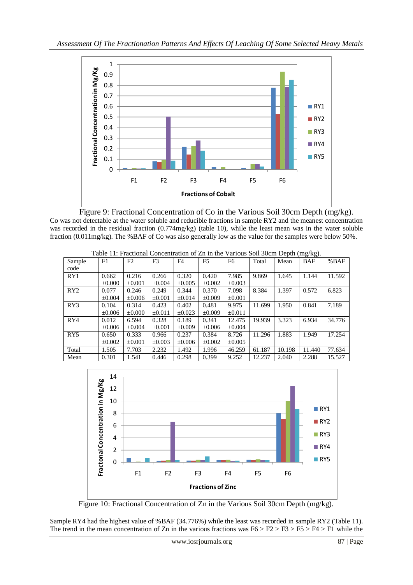

 Figure 9: Fractional Concentration of Co in the Various Soil 30cm Depth (mg/kg). Co was not detectable at the water soluble and reducible fractions in sample RY2 and the meanest concentration was recorded in the residual fraction (0.774mg/kg) (table 10), while the least mean was in the water soluble fraction (0.011mg/kg). The %BAF of Co was also generally low as the value for the samples were below 50%.

| $\mu$ . The matrix $\mu$<br>$\frac{1}{2}$<br>F2<br>F <sub>3</sub><br>F <sub>5</sub><br>F1<br>%BAF<br>F <sub>4</sub><br>F6<br>Total<br><b>BAF</b><br>Sample<br>Mean<br>code<br>RY1<br>0.320<br>7.985<br>9.869<br>11.592<br>0.216<br>0.266<br>0.420<br>1.645<br>1.144<br>0.662<br>$\pm 0.003$<br>$\pm 0.000$<br>$\pm 0.001$<br>$\pm 0.004$<br>$\pm 0.002$<br>$\pm 0.005$<br>0.572<br>0.370<br>7.098<br>8.384<br>1.397<br>6.823<br>RY2<br>0.077<br>0.246<br>0.249<br>0.344<br>$\pm 0.001$<br>$\pm 0.004$<br>$\pm 0.006$<br>$\pm 0.001$<br>$\pm 0.014$<br>$\pm 0.009$<br>RY3<br>0.841<br>7.189<br>0.314<br>0.423<br>0.402<br>0.481<br>9.975<br>1.950<br>0.104<br>11.699 |             |             |             |             |             |             |        |        |        |        |
|---------------------------------------------------------------------------------------------------------------------------------------------------------------------------------------------------------------------------------------------------------------------------------------------------------------------------------------------------------------------------------------------------------------------------------------------------------------------------------------------------------------------------------------------------------------------------------------------------------------------------------------------------------------------|-------------|-------------|-------------|-------------|-------------|-------------|--------|--------|--------|--------|
|                                                                                                                                                                                                                                                                                                                                                                                                                                                                                                                                                                                                                                                                     |             |             |             |             |             |             |        |        |        |        |
|                                                                                                                                                                                                                                                                                                                                                                                                                                                                                                                                                                                                                                                                     |             |             |             |             |             |             |        |        |        |        |
|                                                                                                                                                                                                                                                                                                                                                                                                                                                                                                                                                                                                                                                                     |             |             |             |             |             |             |        |        |        |        |
|                                                                                                                                                                                                                                                                                                                                                                                                                                                                                                                                                                                                                                                                     |             |             |             |             |             |             |        |        |        |        |
|                                                                                                                                                                                                                                                                                                                                                                                                                                                                                                                                                                                                                                                                     |             |             |             |             |             |             |        |        |        |        |
|                                                                                                                                                                                                                                                                                                                                                                                                                                                                                                                                                                                                                                                                     |             |             |             |             |             |             |        |        |        |        |
|                                                                                                                                                                                                                                                                                                                                                                                                                                                                                                                                                                                                                                                                     |             |             |             |             |             |             |        |        |        |        |
|                                                                                                                                                                                                                                                                                                                                                                                                                                                                                                                                                                                                                                                                     | $\pm 0.006$ | $\pm 0.000$ | $\pm 0.011$ | $\pm 0.023$ | $\pm 0.009$ | $\pm 0.011$ |        |        |        |        |
| RY4                                                                                                                                                                                                                                                                                                                                                                                                                                                                                                                                                                                                                                                                 | 0.012       | 6.594       | 0.328       | 0.189       | 0.341       | 12.475      | 19.939 | 3.323  | 6.934  | 34.776 |
|                                                                                                                                                                                                                                                                                                                                                                                                                                                                                                                                                                                                                                                                     | $\pm 0.006$ | $\pm 0.004$ | $\pm 0.001$ | $\pm 0.009$ | $\pm 0.006$ | $\pm 0.004$ |        |        |        |        |
| RY <sub>5</sub>                                                                                                                                                                                                                                                                                                                                                                                                                                                                                                                                                                                                                                                     | 0.650       | 0.333       | 0.966       | 0.237       | 0.384       | 8.726       | 11.296 | 1.883  | 1.949  | 17.254 |
|                                                                                                                                                                                                                                                                                                                                                                                                                                                                                                                                                                                                                                                                     | $\pm 0.002$ | $\pm 0.001$ | $\pm 0.003$ | $\pm 0.006$ | $\pm 0.002$ | $\pm 0.005$ |        |        |        |        |
| Total                                                                                                                                                                                                                                                                                                                                                                                                                                                                                                                                                                                                                                                               | 1.505       | 7.703       | 2.232       | 1.492       | 1.996       | 46.259      | 61.187 | 10.198 | 11.440 | 77.634 |
| Mean                                                                                                                                                                                                                                                                                                                                                                                                                                                                                                                                                                                                                                                                | 0.301       | 1.541       | 0.446       | 0.298       | 0.399       | 9.252       | 12.237 | 2.040  | 2.288  | 15.527 |

Table 11: Fractional Concentration of Zn in the Various Soil 30cm Depth (mg/kg).



Figure 10: Fractional Concentration of Zn in the Various Soil 30cm Depth (mg/kg).

Sample RY4 had the highest value of %BAF (34.776%) while the least was recorded in sample RY2 (Table 11). The trend in the mean concentration of Zn in the various fractions was  $F6 > F2 > F3 > F5 > F4 > F1$  while the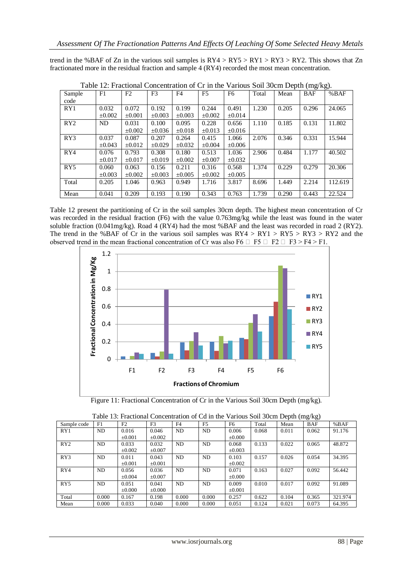trend in the %BAF of Zn in the various soil samples is  $RY4 > RY5 > RY1 > RY3 > RY2$ . This shows that Zn fractionated more in the residual fraction and sample 4 (RY4) recorded the most mean concentration.

| Sample          | F1          | F2          | F <sub>3</sub> | F <sub>4</sub> | F <sub>5</sub> | F6          | Total | Mean  | <b>BAF</b> | %BAF    |
|-----------------|-------------|-------------|----------------|----------------|----------------|-------------|-------|-------|------------|---------|
| code            |             |             |                |                |                |             |       |       |            |         |
| RY1             | 0.032       | 0.072       | 0.192          | 0.199          | 0.244          | 0.491       | 1.230 | 0.205 | 0.296      | 24.065  |
|                 | $\pm 0.002$ | $\pm 0.001$ | $\pm 0.003$    | $\pm 0.003$    | $\pm 0.002$    | $\pm 0.014$ |       |       |            |         |
| RY2             | ND.         | 0.031       | 0.100          | 0.095          | 0.228          | 0.656       | 1.110 | 0.185 | 0.131      | 11.802  |
|                 |             | $\pm 0.002$ | $\pm 0.036$    | $\pm 0.018$    | $\pm 0.013$    | $\pm 0.016$ |       |       |            |         |
| RY3             | 0.037       | 0.087       | 0.207          | 0.264          | 0.415          | 1.066       | 2.076 | 0.346 | 0.331      | 15.944  |
|                 | $\pm 0.043$ | $\pm 0.012$ | $+0.029$       | $\pm 0.032$    | $\pm 0.004$    | $\pm 0.006$ |       |       |            |         |
| RY4             | 0.076       | 0.793       | 0.308          | 0.180          | 0.513          | 1.036       | 2.906 | 0.484 | 1.177      | 40.502  |
|                 | $+0.017$    | $\pm 0.017$ | $+0.019$       | $\pm 0.002$    | $\pm 0.007$    | $\pm 0.032$ |       |       |            |         |
| RY <sub>5</sub> | 0.060       | 0.063       | 0.156          | 0.211          | 0.316          | 0.568       | 1.374 | 0.229 | 0.279      | 20.306  |
|                 | $+0.003$    | $\pm 0.002$ | $\pm 0.003$    | $\pm 0.005$    | $\pm 0.002$    | $\pm 0.005$ |       |       |            |         |
| Total           | 0.205       | 1.046       | 0.963          | 0.949          | 1.716          | 3.817       | 8.696 | 1.449 | 2.214      | 112.619 |
|                 |             |             |                |                |                |             |       |       |            |         |
| Mean            | 0.041       | 0.209       | 0.193          | 0.190          | 0.343          | 0.763       | 1.739 | 0.290 | 0.443      | 22.524  |

|  | Table 12: Fractional Concentration of Cr in the Various Soil 30cm Depth (mg/kg). |  |  |  |
|--|----------------------------------------------------------------------------------|--|--|--|
|  |                                                                                  |  |  |  |

Table 12 present the partitioning of Cr in the soil samples 30cm depth. The highest mean concentration of Cr was recorded in the residual fraction (F6) with the value 0.763mg/kg while the least was found in the water soluble fraction (0.041mg/kg). Road 4 (RY4) had the most %BAF and the least was recorded in road 2 (RY2). The trend in the %BAF of Cr in the various soil samples was  $RY4 > RY1 > RY5 > RY3 > RY2$  and the observed trend in the mean fractional concentration of Cr was also F6  $\Box$  F5  $\Box$  F2  $\Box$  F3 > F4 > F1.



Figure 11: Fractional Concentration of Cr in the Various Soil 30cm Depth (mg/kg).

| Sample code     | F1    | F2          | F <sub>3</sub> | F4             | F <sub>5</sub> | F6          | Total | Mean  | <b>BAF</b> | %BAF    |  |
|-----------------|-------|-------------|----------------|----------------|----------------|-------------|-------|-------|------------|---------|--|
| RY1             | ND    | 0.016       | 0.046          | N <sub>D</sub> | ND             | 0.006       | 0.068 | 0.011 | 0.062      | 91.176  |  |
|                 |       | $\pm 0.001$ | $\pm 0.002$    |                |                | $\pm 0.000$ |       |       |            |         |  |
| RY2             | ND    | 0.033       | 0.032          | N <sub>D</sub> | ND             | 0.068       | 0.133 | 0.022 | 0.065      | 48.872  |  |
|                 |       | $\pm 0.002$ | $\pm 0.007$    |                |                | $\pm 0.003$ |       |       |            |         |  |
| RY3             | ND.   | 0.011       | 0.043          | N <sub>D</sub> | ND             | 0.103       | 0.157 | 0.026 | 0.054      | 34.395  |  |
|                 |       | $\pm 0.001$ | $\pm 0.001$    |                |                | $\pm 0.002$ |       |       |            |         |  |
| RY4             | ND    | 0.056       | 0.036          | ND             | ND             | 0.071       | 0.163 | 0.027 | 0.092      | 56.442  |  |
|                 |       | $\pm 0.004$ | $\pm 0.007$    |                |                | $\pm 0.000$ |       |       |            |         |  |
| RY <sub>5</sub> | ND    | 0.051       | 0.041          | ND             | ND             | 0.009       | 0.010 | 0.017 | 0.092      | 91.089  |  |
|                 |       | $\pm 0.000$ | $\pm 0.000$    |                |                | $\pm 0.001$ |       |       |            |         |  |
| Total           | 0.000 | 0.167       | 0.198          | 0.000          | 0.000          | 0.257       | 0.622 | 0.104 | 0.365      | 321.974 |  |
| Mean            | 0.000 | 0.033       | 0.040          | 0.000          | 0.000          | 0.051       | 0.124 | 0.021 | 0.073      | 64.395  |  |

| Table 13: Fractional Concentration of Cd in the Various Soil 30cm Depth (mg/kg) |  |  |  |
|---------------------------------------------------------------------------------|--|--|--|
|                                                                                 |  |  |  |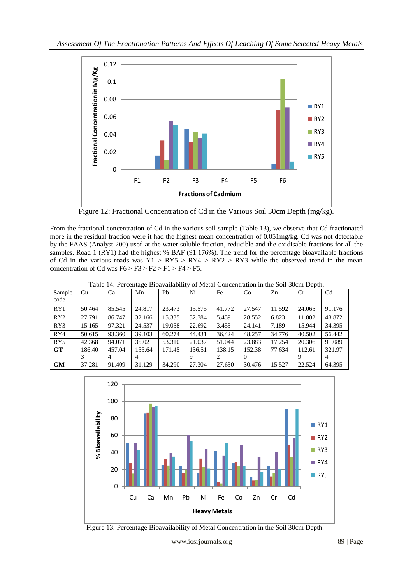

Figure 12: Fractional Concentration of Cd in the Various Soil 30cm Depth (mg/kg).

From the fractional concentration of Cd in the various soil sample (Table 13), we observe that Cd fractionated more in the residual fraction were it had the highest mean concentration of 0.051mg/kg. Cd was not detectable by the FAAS (Analyst 200) used at the water soluble fraction, reducible and the oxidisable fractions for all the samples. Road 1 (RY1) had the highest % BAF (91.176%). The trend for the percentage bioavailable fractions of Cd in the various roads was  $\overline{Y}1$  > RY5 > RY4 > RY2 > RY3 while the observed trend in the mean concentration of Cd was  $F6 > F3 > F2 > F1 > F4 > F5$ .

Table 14: Percentage Bioavailability of Metal Concentration in the Soil 30cm Depth.

| Sample         | Cu     | Ca     | Mn     | Ph     | Ni     | Fe     | Co       | Zn     | Cr     | C <sub>d</sub> |
|----------------|--------|--------|--------|--------|--------|--------|----------|--------|--------|----------------|
| code           |        |        |        |        |        |        |          |        |        |                |
| RY1            | 50.464 | 85.545 | 24.817 | 23.473 | 15.575 | 41.772 | 27.547   | 11.592 | 24.065 | 91.176         |
| RY2            | 27.791 | 86.747 | 32.166 | 15.335 | 32.784 | 5.459  | 28.552   | 6.823  | 11.802 | 48.872         |
| RY3            | 15.165 | 97.321 | 24.537 | 19.058 | 22.692 | 3.453  | 24.141   | 7.189  | 15.944 | 34.395         |
| RY4            | 50.615 | 93.360 | 39.103 | 60.274 | 44.431 | 36.424 | 48.257   | 34.776 | 40.502 | 56.442         |
| RY5            | 42.368 | 94.071 | 35.021 | 53.310 | 21.037 | 51.044 | 23.883   | 17.254 | 20.306 | 91.089         |
| G <sub>T</sub> | 186.40 | 457.04 | 155.64 | 171.45 | 136.51 | 138.15 | 152.38   | 77.634 | 112.61 | 321.97         |
|                | 3      | 4      | 4      |        |        | 2      | $\theta$ |        | 9      | 4              |
| <b>GM</b>      | 37.281 | 91.409 | 31.129 | 34.290 | 27.304 | 27.630 | 30.476   | 15.527 | 22.524 | 64.395         |